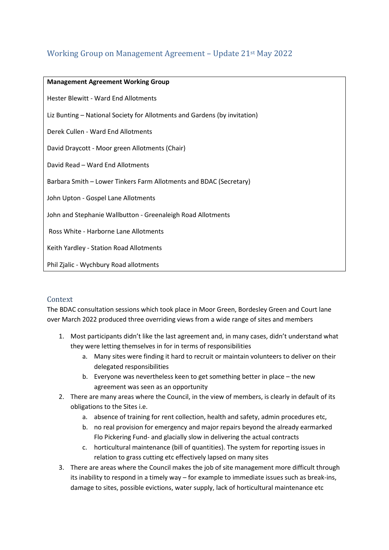# Working Group on Management Agreement – Update 21st May 2022

| <b>Management Agreement Working Group</b>                                 |  |  |
|---------------------------------------------------------------------------|--|--|
| <b>Hester Blewitt - Ward End Allotments</b>                               |  |  |
| Liz Bunting – National Society for Allotments and Gardens (by invitation) |  |  |
| Derek Cullen - Ward End Allotments                                        |  |  |
| David Draycott - Moor green Allotments (Chair)                            |  |  |
| David Read - Ward End Allotments                                          |  |  |
| Barbara Smith - Lower Tinkers Farm Allotments and BDAC (Secretary)        |  |  |
| John Upton - Gospel Lane Allotments                                       |  |  |
| John and Stephanie Wallbutton - Greenaleigh Road Allotments               |  |  |
| Ross White - Harborne Lane Allotments                                     |  |  |
| Keith Yardley - Station Road Allotments                                   |  |  |
| Phil Zjalic - Wychbury Road allotments                                    |  |  |

## Context

The BDAC consultation sessions which took place in Moor Green, Bordesley Green and Court lane over March 2022 produced three overriding views from a wide range of sites and members

- 1. Most participants didn't like the last agreement and, in many cases, didn't understand what they were letting themselves in for in terms of responsibilities
	- a. Many sites were finding it hard to recruit or maintain volunteers to deliver on their delegated responsibilities
	- b. Everyone was nevertheless keen to get something better in place the new agreement was seen as an opportunity
- 2. There are many areas where the Council, in the view of members, is clearly in default of its obligations to the Sites i.e.
	- a. absence of training for rent collection, health and safety, admin procedures etc,
	- b. no real provision for emergency and major repairs beyond the already earmarked Flo Pickering Fund- and glacially slow in delivering the actual contracts
	- c. horticultural maintenance (bill of quantities). The system for reporting issues in relation to grass cutting etc effectively lapsed on many sites
- 3. There are areas where the Council makes the job of site management more difficult through its inability to respond in a timely way – for example to immediate issues such as break-ins, damage to sites, possible evictions, water supply, lack of horticultural maintenance etc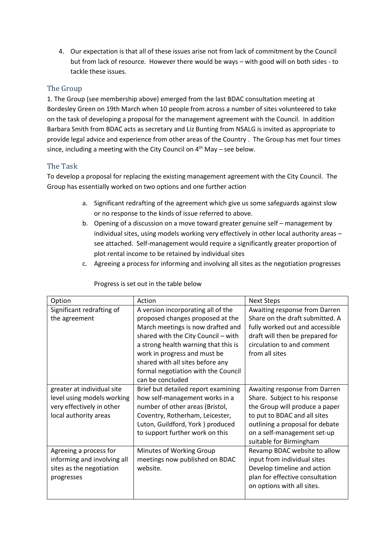4. Our expectation is that all of these issues arise not from lack of commitment by the Council but from lack of resource. However there would be ways – with good will on both sides - to tackle these issues.

### The Group

1. The Group (see membership above) emerged from the last BDAC consultation meeting at Bordesley Green on 19th March when 10 people from across a number of sites volunteered to take on the task of developing a proposal for the management agreement with the Council. In addition Barbara Smith from BDAC acts as secretary and Liz Bunting from NSALG is invited as appropriate to provide legal advice and experience from other areas of the Country . The Group has met four times since, including a meeting with the City Council on  $4^{\text{th}}$  May – see below.

#### The Task

To develop a proposal for replacing the existing management agreement with the City Council. The Group has essentially worked on two options and one further action

- a. Significant redrafting of the agreement which give us some safeguards against slow or no response to the kinds of issue referred to above.
- b. Opening of a discussion on a move toward greater genuine self management by individual sites, using models working very effectively in other local authority areas – see attached. Self-management would require a significantly greater proportion of plot rental income to be retained by individual sites
- c. Agreeing a process for informing and involving all sites as the negotiation progresses

| Option                      | Action                               | <b>Next Steps</b>               |
|-----------------------------|--------------------------------------|---------------------------------|
| Significant redrafting of   | A version incorporating all of the   | Awaiting response from Darren   |
| the agreement               | proposed changes proposed at the     | Share on the draft submitted. A |
|                             | March meetings is now drafted and    | fully worked out and accessible |
|                             | shared with the City Council - with  | draft will then be prepared for |
|                             | a strong health warning that this is | circulation to and comment      |
|                             | work in progress and must be         | from all sites                  |
|                             | shared with all sites before any     |                                 |
|                             | formal negotiation with the Council  |                                 |
|                             | can be concluded                     |                                 |
| greater at individual site  | Brief but detailed report examining  | Awaiting response from Darren   |
| level using models working  | how self-management works in a       | Share. Subject to his response  |
| very effectively in other   | number of other areas (Bristol,      | the Group will produce a paper  |
| local authority areas       | Coventry, Rotherham, Leicester,      | to put to BDAC and all sites    |
|                             | Luton, Guildford, York ) produced    | outlining a proposal for debate |
|                             | to support further work on this      | on a self-management set-up     |
|                             |                                      | suitable for Birmingham         |
| Agreeing a process for      | Minutes of Working Group             | Revamp BDAC website to allow    |
| informing and involving all | meetings now published on BDAC       | input from individual sites     |
| sites as the negotiation    | website.                             | Develop timeline and action     |
| progresses                  |                                      | plan for effective consultation |
|                             |                                      | on options with all sites.      |
|                             |                                      |                                 |

#### Progress is set out in the table below